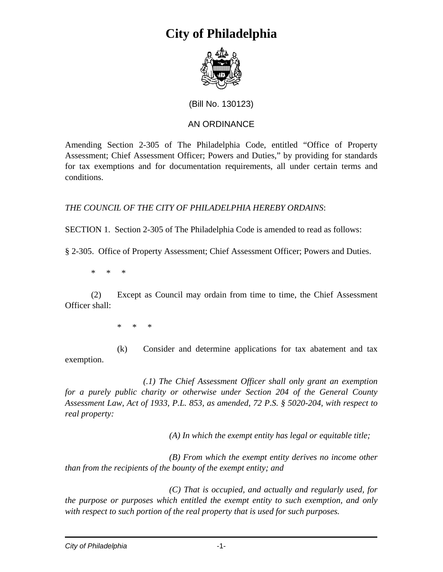

(Bill No. 130123)

#### AN ORDINANCE

Amending Section 2-305 of The Philadelphia Code, entitled "Office of Property Assessment; Chief Assessment Officer; Powers and Duties," by providing for standards for tax exemptions and for documentation requirements, all under certain terms and conditions.

#### *THE COUNCIL OF THE CITY OF PHILADELPHIA HEREBY ORDAINS*:

SECTION 1. Section 2-305 of The Philadelphia Code is amended to read as follows:

§ 2-305. Office of Property Assessment; Chief Assessment Officer; Powers and Duties.

\* \* \*

 (2) Except as Council may ordain from time to time, the Chief Assessment Officer shall:

 $\star$  \* \* \*

 (k) Consider and determine applications for tax abatement and tax exemption.

 *(.1) The Chief Assessment Officer shall only grant an exemption for a purely public charity or otherwise under Section 204 of the General County Assessment Law, Act of 1933, P.L. 853, as amended, 72 P.S. § 5020-204, with respect to real property:* 

 *(A) In which the exempt entity has legal or equitable title;* 

 *(B) From which the exempt entity derives no income other than from the recipients of the bounty of the exempt entity; and* 

 *(C) That is occupied, and actually and regularly used, for the purpose or purposes which entitled the exempt entity to such exemption, and only with respect to such portion of the real property that is used for such purposes.*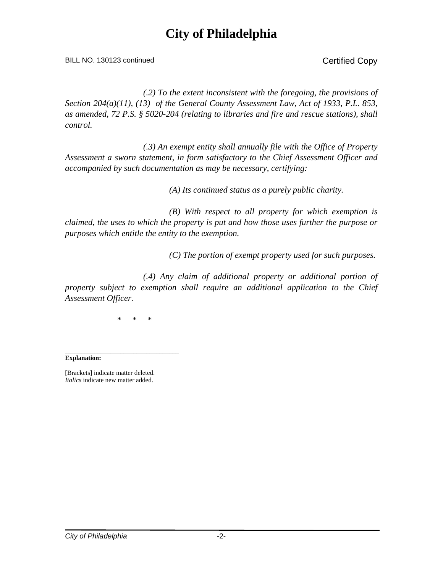BILL NO. 130123 continued Copy

 *(.2) To the extent inconsistent with the foregoing, the provisions of Section 204(a)(11), (13) of the General County Assessment Law, Act of 1933, P.L. 853, as amended, 72 P.S. § 5020-204 (relating to libraries and fire and rescue stations), shall control.* 

 *(.3) An exempt entity shall annually file with the Office of Property Assessment a sworn statement, in form satisfactory to the Chief Assessment Officer and accompanied by such documentation as may be necessary, certifying:* 

 *(A) Its continued status as a purely public charity.* 

 *(B) With respect to all property for which exemption is claimed, the uses to which the property is put and how those uses further the purpose or purposes which entitle the entity to the exemption.* 

 *(C) The portion of exempt property used for such purposes.* 

 *(.4) Any claim of additional property or additional portion of property subject to exemption shall require an additional application to the Chief Assessment Officer.* 

\* \* \*

**Explanation:** 

[Brackets] indicate matter deleted. *Italics* indicate new matter added.

 $\overline{\phantom{a}}$  , and the set of the set of the set of the set of the set of the set of the set of the set of the set of the set of the set of the set of the set of the set of the set of the set of the set of the set of the s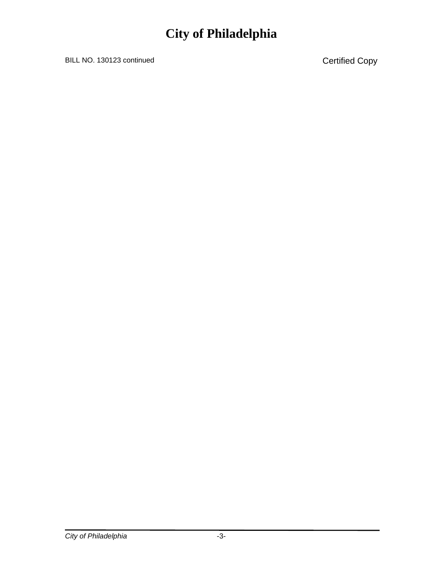BILL NO. 130123 continued Copy